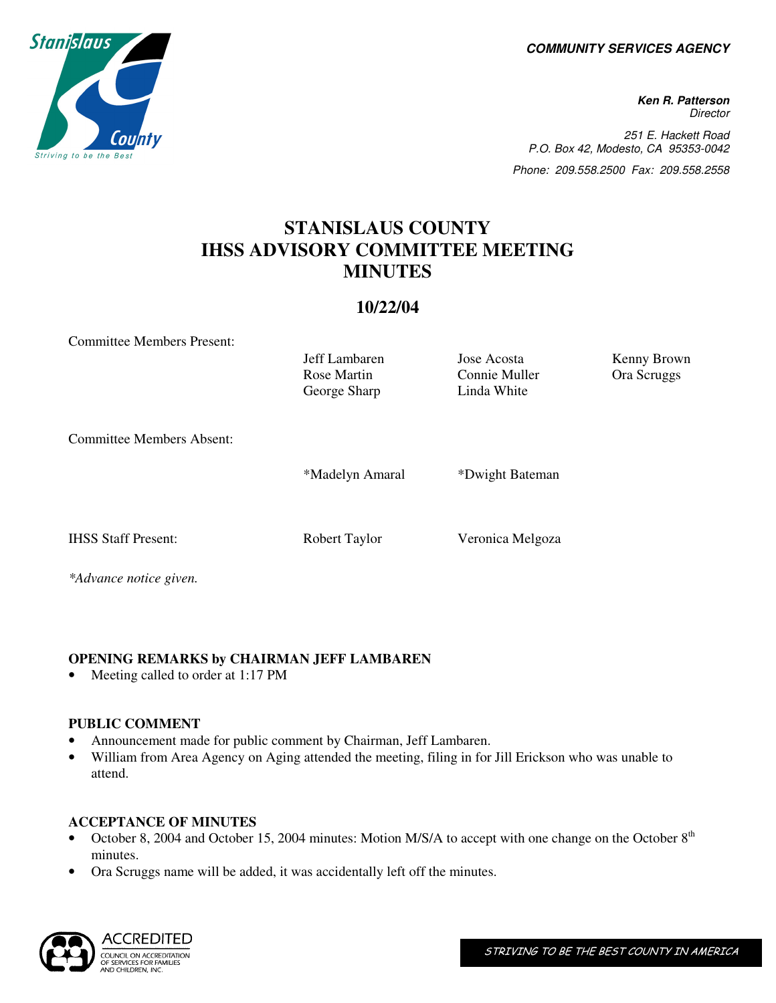**COMMUNITY SERVICES AGENCY** 

**Ken R. Patterson Director** 251 E. Hackett Road P.O. Box 42, Modesto, CA 95353-0042 Phone: 209.558.2500 Fax: 209.558.2558

# **STANISLAUS COUNTY IHSS ADVISORY COMMITTEE MEETING MINUTES**

# **10/22/04**

Committee Members Present:

Jeff Lambaren Jose Acosta Kenny Brown George Sharp

Rose Martin Connie Muller Ora Scruggs<br>
George Sharp Linda White

Committee Members Absent:

\*Madelyn Amaral \*Dwight Bateman

IHSS Staff Present: Robert Taylor Veronica Melgoza

*\*Advance notice given.* 

# **OPENING REMARKS by CHAIRMAN JEFF LAMBAREN**

Meeting called to order at 1:17 PM

#### **PUBLIC COMMENT**

- Announcement made for public comment by Chairman, Jeff Lambaren.
- William from Area Agency on Aging attended the meeting, filing in for Jill Erickson who was unable to attend.

# **ACCEPTANCE OF MINUTES**

- October 8, 2004 and October 15, 2004 minutes: Motion M/S/A to accept with one change on the October 8<sup>th</sup> minutes.
- Ora Scruggs name will be added, it was accidentally left off the minutes.